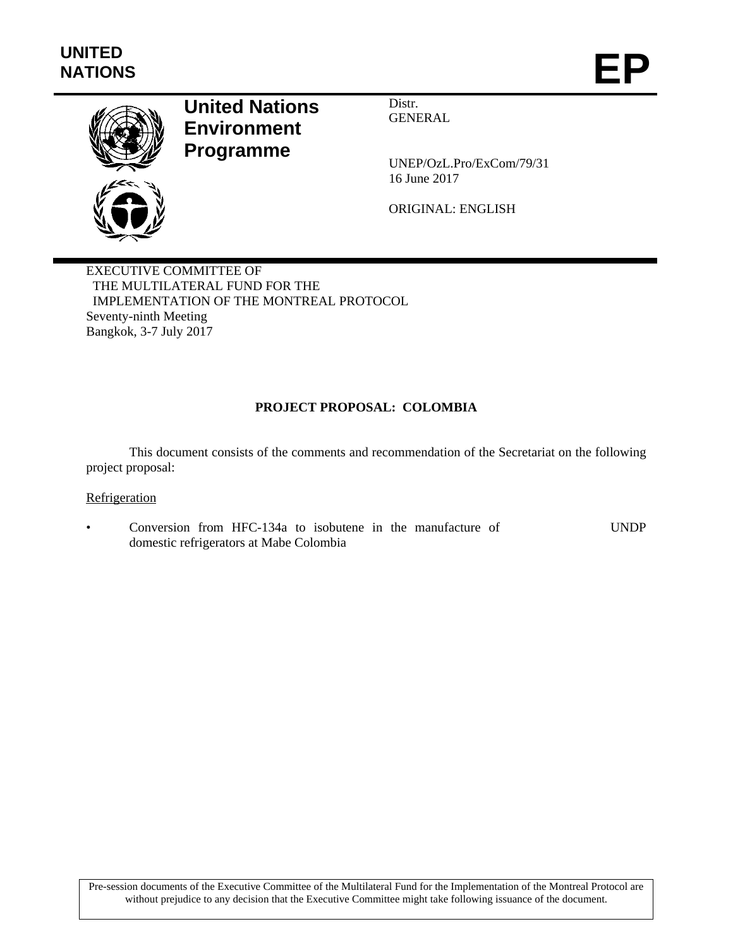

# **United Nations Environment Programme**

Distr. GENERAL

UNEP/OzL.Pro/ExCom/79/31 16 June 2017

ORIGINAL: ENGLISH

EXECUTIVE COMMITTEE OF THE MULTILATERAL FUND FOR THE IMPLEMENTATION OF THE MONTREAL PROTOCOL Seventy-ninth Meeting Bangkok, 3-7 July 2017

## **PROJECT PROPOSAL: COLOMBIA**

This document consists of the comments and recommendation of the Secretariat on the following project proposal:

#### **Refrigeration**

• Conversion from HFC-134a to isobutene in the manufacture of domestic refrigerators at Mabe Colombia UNDP

Pre-session documents of the Executive Committee of the Multilateral Fund for the Implementation of the Montreal Protocol are without prejudice to any decision that the Executive Committee might take following issuance of the document.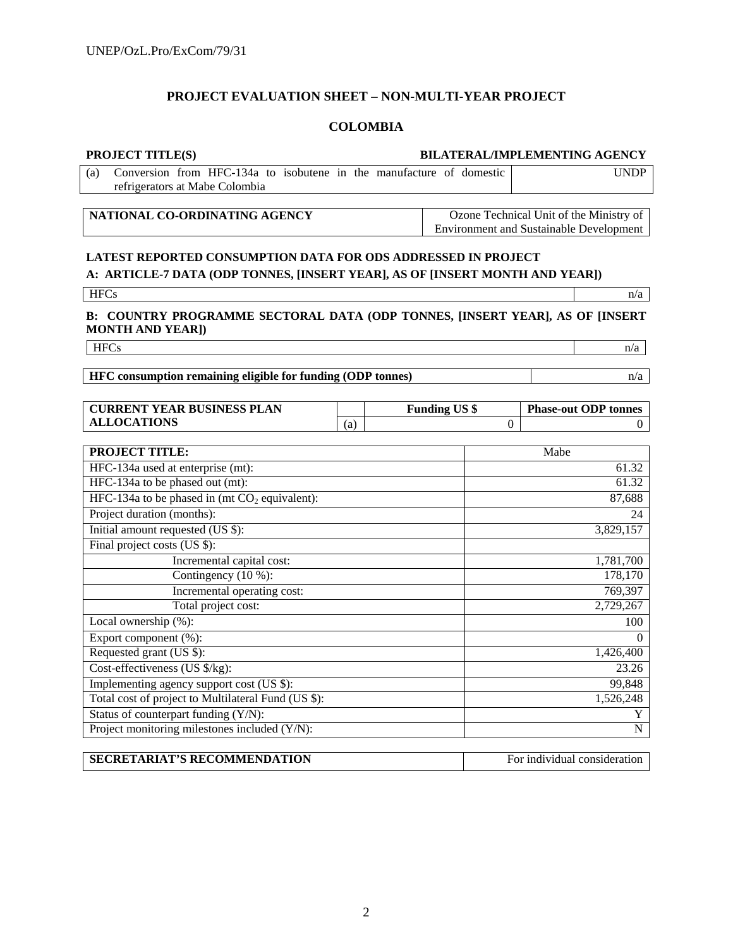## **PROJECT EVALUATION SHEET – NON-MULTI-YEAR PROJECT**

# **COLOMBIA**

| <b>PROJECT TITLE(S)</b>                                                                                                                       |     |                                                                                           |                      | <b>BILATERAL/IMPLEMENTING AGENCY</b> |
|-----------------------------------------------------------------------------------------------------------------------------------------------|-----|-------------------------------------------------------------------------------------------|----------------------|--------------------------------------|
| Conversion from HFC-134a to isobutene in the manufacture of domestic<br>(a)<br>refrigerators at Mabe Colombia                                 |     |                                                                                           |                      | <b>UNDP</b>                          |
|                                                                                                                                               |     |                                                                                           |                      |                                      |
| NATIONAL CO-ORDINATING AGENCY                                                                                                                 |     | Ozone Technical Unit of the Ministry of<br><b>Environment and Sustainable Development</b> |                      |                                      |
|                                                                                                                                               |     |                                                                                           |                      |                                      |
| LATEST REPORTED CONSUMPTION DATA FOR ODS ADDRESSED IN PROJECT<br>A: ARTICLE-7 DATA (ODP TONNES, [INSERT YEAR], AS OF [INSERT MONTH AND YEAR]) |     |                                                                                           |                      |                                      |
|                                                                                                                                               |     |                                                                                           |                      |                                      |
| <b>HFCs</b>                                                                                                                                   |     |                                                                                           |                      | n/a                                  |
| B: COUNTRY PROGRAMME SECTORAL DATA (ODP TONNES, [INSERT YEAR], AS OF [INSERT<br><b>MONTH AND YEAR])</b>                                       |     |                                                                                           |                      |                                      |
| <b>HFCs</b>                                                                                                                                   |     |                                                                                           |                      | n/a                                  |
|                                                                                                                                               |     |                                                                                           |                      |                                      |
| HFC consumption remaining eligible for funding (ODP tonnes)                                                                                   |     |                                                                                           |                      | n/a                                  |
|                                                                                                                                               |     |                                                                                           |                      |                                      |
| <b>CURRENT YEAR BUSINESS PLAN</b>                                                                                                             |     |                                                                                           | <b>Funding US \$</b> | <b>Phase-out ODP tonnes</b>          |
| <b>ALLOCATIONS</b>                                                                                                                            | (a) |                                                                                           | $\theta$             | $\Omega$                             |
| <b>PROJECT TITLE:</b>                                                                                                                         |     |                                                                                           |                      | Mabe                                 |
| HFC-134a used at enterprise (mt):                                                                                                             |     |                                                                                           |                      | 61.32                                |
| HFC-134a to be phased out (mt):                                                                                                               |     |                                                                                           |                      | 61.32                                |
| HFC-134a to be phased in (mt $CO2$ equivalent):                                                                                               |     |                                                                                           |                      | 87,688                               |
| Project duration (months):                                                                                                                    |     |                                                                                           |                      | 24                                   |
| Initial amount requested (US \$):                                                                                                             |     |                                                                                           |                      | 3,829,157                            |
| Final project costs (US \$):                                                                                                                  |     |                                                                                           |                      |                                      |
| Incremental capital cost:                                                                                                                     |     |                                                                                           |                      | 1,781,700                            |
| Contingency (10 %):                                                                                                                           |     |                                                                                           |                      | 178,170                              |
| Incremental operating cost:                                                                                                                   |     |                                                                                           |                      | 769,397                              |
| Total project cost:                                                                                                                           |     |                                                                                           |                      | 2,729,267                            |
| Local ownership (%):                                                                                                                          |     |                                                                                           |                      | 100                                  |
| Export component (%):                                                                                                                         |     |                                                                                           |                      | $\Omega$                             |
| Requested grant (US \$):                                                                                                                      |     |                                                                                           |                      | 1,426,400                            |
| Cost-effectiveness (US \$/kg):                                                                                                                |     |                                                                                           |                      | 23.26                                |
| Implementing agency support cost (US \$):                                                                                                     |     |                                                                                           |                      | 99,848                               |
| Total cost of project to Multilateral Fund (US \$):                                                                                           |     |                                                                                           |                      | 1,526,248                            |
| Status of counterpart funding (Y/N):<br>Project monitoring milestones included (Y/N):                                                         |     |                                                                                           |                      | Y<br>$\overline{N}$                  |
|                                                                                                                                               |     |                                                                                           |                      |                                      |

| <b>SECRETARIAT'S RECOMMENDATION</b> | For individual consideration |
|-------------------------------------|------------------------------|
|                                     |                              |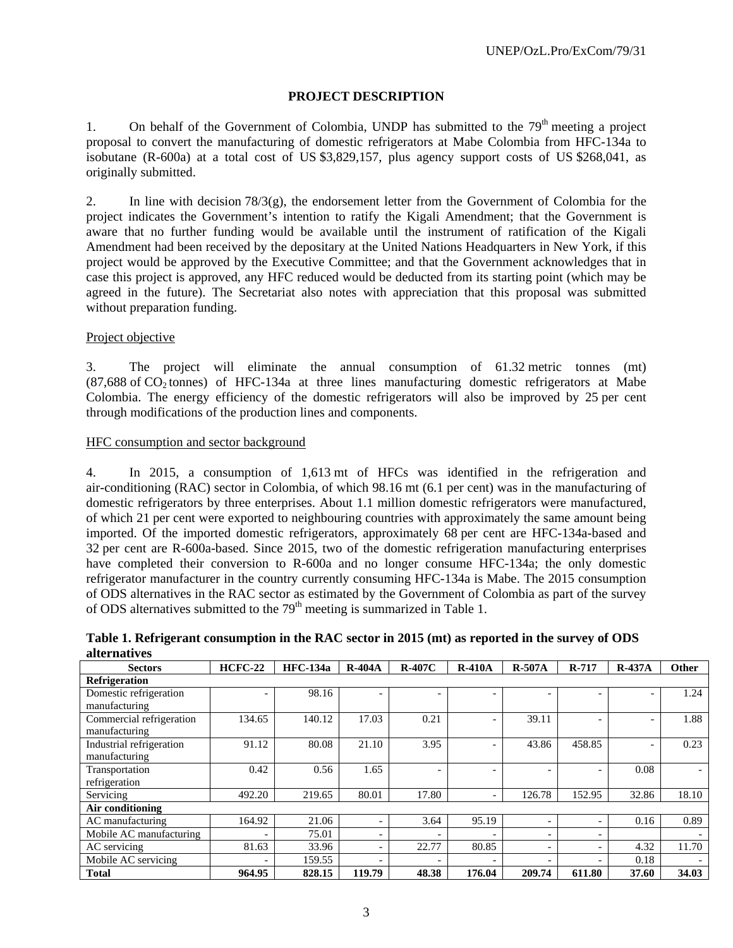# **PROJECT DESCRIPTION**

1. On behalf of the Government of Colombia, UNDP has submitted to the  $79<sup>th</sup>$  meeting a project proposal to convert the manufacturing of domestic refrigerators at Mabe Colombia from HFC-134a to isobutane (R-600a) at a total cost of US \$3,829,157, plus agency support costs of US \$268,041, as originally submitted.

2. In line with decision  $78/3(g)$ , the endorsement letter from the Government of Colombia for the project indicates the Government's intention to ratify the Kigali Amendment; that the Government is aware that no further funding would be available until the instrument of ratification of the Kigali Amendment had been received by the depositary at the United Nations Headquarters in New York, if this project would be approved by the Executive Committee; and that the Government acknowledges that in case this project is approved, any HFC reduced would be deducted from its starting point (which may be agreed in the future). The Secretariat also notes with appreciation that this proposal was submitted without preparation funding.

## Project objective

3. The project will eliminate the annual consumption of 61.32 metric tonnes (mt)  $(87,688 \text{ of } CO<sub>2</sub>$  tonnes) of HFC-134a at three lines manufacturing domestic refrigerators at Mabe Colombia. The energy efficiency of the domestic refrigerators will also be improved by 25 per cent through modifications of the production lines and components.

#### HFC consumption and sector background

4. In 2015, a consumption of 1,613 mt of HFCs was identified in the refrigeration and air-conditioning (RAC) sector in Colombia, of which 98.16 mt (6.1 per cent) was in the manufacturing of domestic refrigerators by three enterprises. About 1.1 million domestic refrigerators were manufactured, of which 21 per cent were exported to neighbouring countries with approximately the same amount being imported. Of the imported domestic refrigerators, approximately 68 per cent are HFC-134a-based and 32 per cent are R-600a-based. Since 2015, two of the domestic refrigeration manufacturing enterprises have completed their conversion to R-600a and no longer consume HFC-134a; the only domestic refrigerator manufacturer in the country currently consuming HFC-134a is Mabe. The 2015 consumption of ODS alternatives in the RAC sector as estimated by the Government of Colombia as part of the survey of ODS alternatives submitted to the  $79<sup>th</sup>$  meeting is summarized in Table 1.

**Table 1. Refrigerant consumption in the RAC sector in 2015 (mt) as reported in the survey of ODS alternatives** 

| <b>Sectors</b>           | $HCFC-22$                | <b>HFC-134a</b> | $R-404A$                 | $R-407C$ | $R-410A$                 | $R-507A$                 | R-717                    | $R-437A$                 | Other |  |
|--------------------------|--------------------------|-----------------|--------------------------|----------|--------------------------|--------------------------|--------------------------|--------------------------|-------|--|
| <b>Refrigeration</b>     |                          |                 |                          |          |                          |                          |                          |                          |       |  |
| Domestic refrigeration   |                          | 98.16           |                          |          |                          |                          | -                        |                          | 1.24  |  |
| manufacturing            |                          |                 |                          |          |                          |                          |                          |                          |       |  |
| Commercial refrigeration | 134.65                   | 140.12          | 17.03                    | 0.21     | $\overline{\phantom{0}}$ | 39.11                    | -                        | $\overline{\phantom{0}}$ | 1.88  |  |
| manufacturing            |                          |                 |                          |          |                          |                          |                          |                          |       |  |
| Industrial refrigeration | 91.12                    | 80.08           | 21.10                    | 3.95     | $\overline{\phantom{0}}$ | 43.86                    | 458.85                   | $\overline{\phantom{a}}$ | 0.23  |  |
| manufacturing            |                          |                 |                          |          |                          |                          |                          |                          |       |  |
| Transportation           | 0.42                     | 0.56            | 1.65                     |          |                          |                          |                          | 0.08                     |       |  |
| refrigeration            |                          |                 |                          |          |                          |                          |                          |                          |       |  |
| Servicing                | 492.20                   | 219.65          | 80.01                    | 17.80    | $\overline{\phantom{a}}$ | 126.78                   | 152.95                   | 32.86                    | 18.10 |  |
| Air conditioning         |                          |                 |                          |          |                          |                          |                          |                          |       |  |
| AC manufacturing         | 164.92                   | 21.06           |                          | 3.64     | 95.19                    | $\overline{\phantom{0}}$ | $\overline{\phantom{0}}$ | 0.16                     | 0.89  |  |
| Mobile AC manufacturing  | $\overline{\phantom{0}}$ | 75.01           | $\overline{\phantom{0}}$ |          |                          | $\overline{\phantom{0}}$ | $\overline{\phantom{0}}$ |                          |       |  |
| AC servicing             | 81.63                    | 33.96           |                          | 22.77    | 80.85                    | $\overline{\phantom{0}}$ | -                        | 4.32                     | 11.70 |  |
| Mobile AC servicing      | $\overline{\phantom{0}}$ | 159.55          |                          |          |                          |                          |                          | 0.18                     |       |  |
| <b>Total</b>             | 964.95                   | 828.15          | 119.79                   | 48.38    | 176.04                   | 209.74                   | 611.80                   | 37.60                    | 34.03 |  |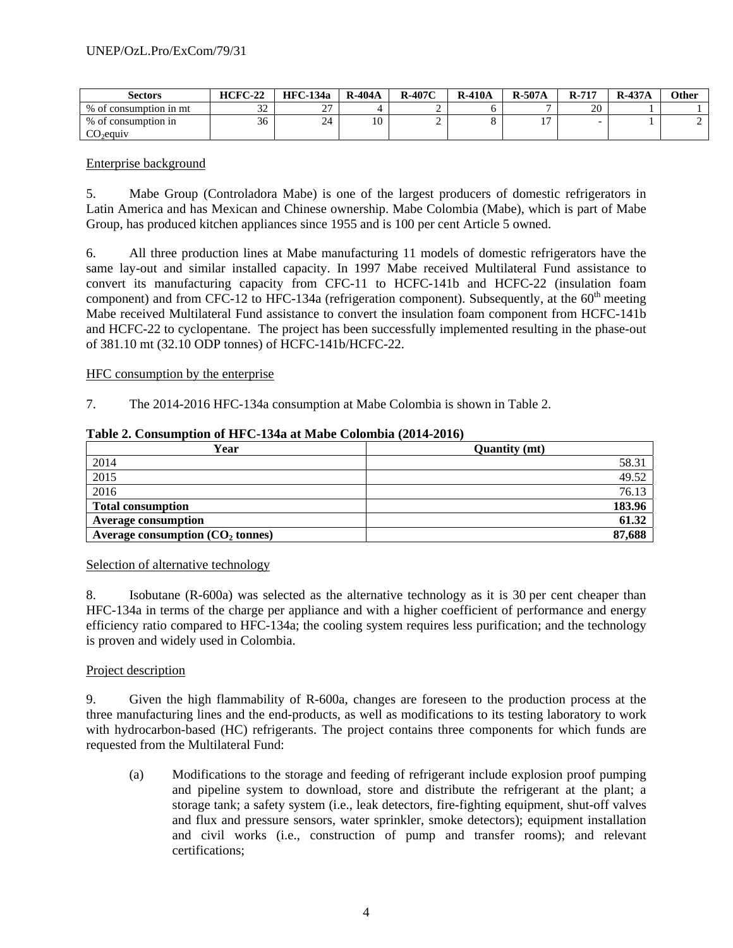| Sectors                | $HCFC-22$     | <b>HFC-134a</b>    | <b>R-404A</b>           | $R-407C$ | <b>R-410A</b> | $R-507A$ | $R-717$ | $R-437A$ | Other |
|------------------------|---------------|--------------------|-------------------------|----------|---------------|----------|---------|----------|-------|
| % of consumption in mt | $\sim$<br>ے ر | $\sim$<br><u>.</u> |                         |          |               |          | 20      |          |       |
| % of consumption in    | $\sim$<br>36  | 24                 | $\mathbf{1} \cap$<br>ΙU |          |               | . .      |         |          |       |
| $CO_2$ equiv           |               |                    |                         |          |               |          |         |          |       |

#### Enterprise background

5. Mabe Group (Controladora Mabe) is one of the largest producers of domestic refrigerators in Latin America and has Mexican and Chinese ownership. Mabe Colombia (Mabe), which is part of Mabe Group, has produced kitchen appliances since 1955 and is 100 per cent Article 5 owned.

6. All three production lines at Mabe manufacturing 11 models of domestic refrigerators have the same lay-out and similar installed capacity. In 1997 Mabe received Multilateral Fund assistance to convert its manufacturing capacity from CFC-11 to HCFC-141b and HCFC-22 (insulation foam component) and from CFC-12 to HFC-134a (refrigeration component). Subsequently, at the  $60<sup>th</sup>$  meeting Mabe received Multilateral Fund assistance to convert the insulation foam component from HCFC-141b and HCFC-22 to cyclopentane. The project has been successfully implemented resulting in the phase-out of 381.10 mt (32.10 ODP tonnes) of HCFC-141b/HCFC-22.

#### HFC consumption by the enterprise

7. The 2014-2016 HFC-134a consumption at Mabe Colombia is shown in Table 2.

#### **Table 2. Consumption of HFC-134a at Mabe Colombia (2014-2016)**

| Year                               | <b>Quantity (mt)</b> |
|------------------------------------|----------------------|
| 2014                               | 58.31                |
| $\overline{2015}$                  | 49.52                |
| 2016                               | 76.13                |
| <b>Total consumption</b>           | 183.96               |
| <b>Average consumption</b>         | 61.32                |
| Average consumption $(CO2$ tonnes) | 87,688               |

#### Selection of alternative technology

8. Isobutane (R-600a) was selected as the alternative technology as it is 30 per cent cheaper than HFC-134a in terms of the charge per appliance and with a higher coefficient of performance and energy efficiency ratio compared to HFC-134a; the cooling system requires less purification; and the technology is proven and widely used in Colombia.

#### Project description

9. Given the high flammability of R-600a, changes are foreseen to the production process at the three manufacturing lines and the end-products, as well as modifications to its testing laboratory to work with hydrocarbon-based (HC) refrigerants. The project contains three components for which funds are requested from the Multilateral Fund:

(a) Modifications to the storage and feeding of refrigerant include explosion proof pumping and pipeline system to download, store and distribute the refrigerant at the plant; a storage tank; a safety system (i.e., leak detectors, fire-fighting equipment, shut-off valves and flux and pressure sensors, water sprinkler, smoke detectors); equipment installation and civil works (i.e., construction of pump and transfer rooms); and relevant certifications;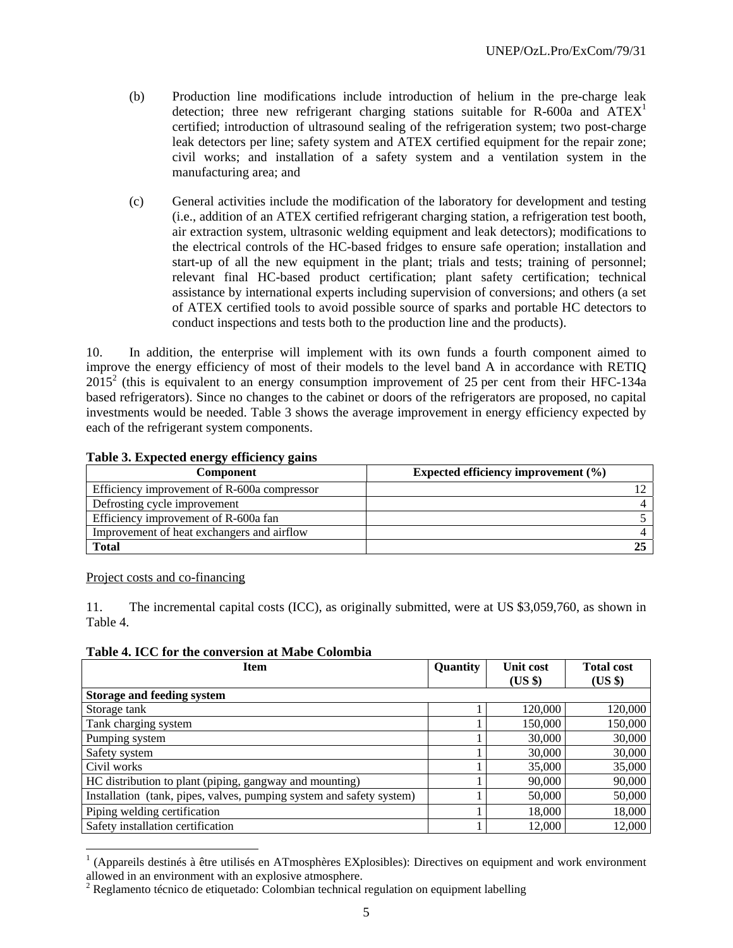- (b) Production line modifications include introduction of helium in the pre-charge leak detection; three new refrigerant charging stations suitable for R-600a and  $ATEX<sup>1</sup>$ certified; introduction of ultrasound sealing of the refrigeration system; two post-charge leak detectors per line; safety system and ATEX certified equipment for the repair zone; civil works; and installation of a safety system and a ventilation system in the manufacturing area; and
- (c) General activities include the modification of the laboratory for development and testing (i.e., addition of an ATEX certified refrigerant charging station, a refrigeration test booth, air extraction system, ultrasonic welding equipment and leak detectors); modifications to the electrical controls of the HC-based fridges to ensure safe operation; installation and start-up of all the new equipment in the plant; trials and tests; training of personnel; relevant final HC-based product certification; plant safety certification; technical assistance by international experts including supervision of conversions; and others (a set of ATEX certified tools to avoid possible source of sparks and portable HC detectors to conduct inspections and tests both to the production line and the products).

10. In addition, the enterprise will implement with its own funds a fourth component aimed to improve the energy efficiency of most of their models to the level band A in accordance with RETIQ  $2015<sup>2</sup>$  (this is equivalent to an energy consumption improvement of 25 per cent from their HFC-134a based refrigerators). Since no changes to the cabinet or doors of the refrigerators are proposed, no capital investments would be needed. Table 3 shows the average improvement in energy efficiency expected by each of the refrigerant system components.

## **Table 3. Expected energy efficiency gains**

| <b>Component</b>                            | Expected efficiency improvement $(\% )$ |
|---------------------------------------------|-----------------------------------------|
| Efficiency improvement of R-600a compressor |                                         |
| Defrosting cycle improvement                |                                         |
| Efficiency improvement of R-600a fan        |                                         |
| Improvement of heat exchangers and airflow  |                                         |
| <b>Total</b>                                |                                         |

#### Project costs and co-financing

l

11. The incremental capital costs (ICC), as originally submitted, were at US \$3,059,760, as shown in Table 4.

**Table 4. ICC for the conversion at Mabe Colombia** 

| <b>Item</b>                                                          | Quantity | <b>Unit cost</b><br>$(US \$ | <b>Total cost</b><br>(US \$) |
|----------------------------------------------------------------------|----------|-----------------------------|------------------------------|
| <b>Storage and feeding system</b>                                    |          |                             |                              |
| Storage tank                                                         |          | 120,000                     | 120,000                      |
| Tank charging system                                                 |          | 150,000                     | 150,000                      |
| Pumping system                                                       |          | 30,000                      | 30,000                       |
| Safety system                                                        |          | 30,000                      | 30,000                       |
| Civil works                                                          |          | 35,000                      | 35,000                       |
| HC distribution to plant (piping, gangway and mounting)              |          | 90,000                      | 90,000                       |
| Installation (tank, pipes, valves, pumping system and safety system) |          | 50,000                      | 50,000                       |
| Piping welding certification                                         |          | 18,000                      | 18,000                       |
| Safety installation certification                                    |          | 12,000                      | 12,000                       |

<sup>1</sup> (Appareils destinés à être utilisés en ATmosphères EXplosibles): Directives on equipment and work environment allowed in an environment with an explosive atmosphere.

 $2^{2}$  Reglamento técnico de etiquetado: Colombian technical regulation on equipment labelling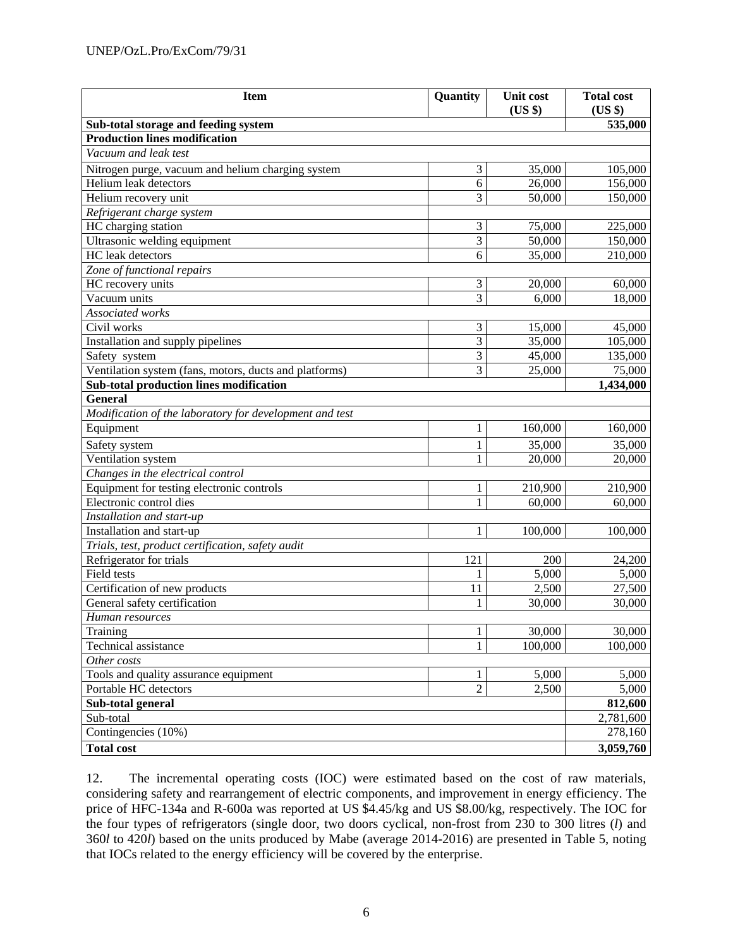| <b>Item</b>                                             | Quantity       | <b>Unit cost</b><br>(US \$) | <b>Total cost</b><br>(US \$) |  |  |  |
|---------------------------------------------------------|----------------|-----------------------------|------------------------------|--|--|--|
| Sub-total storage and feeding system                    |                |                             | 535,000                      |  |  |  |
| <b>Production lines modification</b>                    |                |                             |                              |  |  |  |
| Vacuum and leak test                                    |                |                             |                              |  |  |  |
| Nitrogen purge, vacuum and helium charging system       | 3              | 35,000                      | 105,000                      |  |  |  |
| Helium leak detectors                                   | 6              | 26,000                      | 156,000                      |  |  |  |
| Helium recovery unit                                    | 3              | 50,000                      | 150,000                      |  |  |  |
| Refrigerant charge system                               |                |                             |                              |  |  |  |
| HC charging station                                     | 3              | 75,000                      | 225,000                      |  |  |  |
| Ultrasonic welding equipment                            | 3              | 50,000                      | 150,000                      |  |  |  |
| HC leak detectors                                       | 6              | 35,000                      | 210,000                      |  |  |  |
| Zone of functional repairs                              |                |                             |                              |  |  |  |
| HC recovery units                                       | $\mathfrak{Z}$ | 20,000                      | 60,000                       |  |  |  |
| Vacuum units                                            | 3              | 6,000                       | 18,000                       |  |  |  |
| Associated works                                        |                |                             |                              |  |  |  |
| Civil works                                             | 3              | 15,000                      | 45,000                       |  |  |  |
| Installation and supply pipelines                       | $\overline{3}$ | 35,000                      | 105,000                      |  |  |  |
| Safety system                                           | $\overline{3}$ | 45,000                      | 135,000                      |  |  |  |
| Ventilation system (fans, motors, ducts and platforms)  | 3              | 25,000                      | 75,000                       |  |  |  |
| Sub-total production lines modification                 |                |                             | 1,434,000                    |  |  |  |
| General                                                 |                |                             |                              |  |  |  |
| Modification of the laboratory for development and test |                |                             |                              |  |  |  |
| Equipment                                               | 1              | 160,000                     | 160,000                      |  |  |  |
| Safety system                                           | 1              | 35,000                      | 35,000                       |  |  |  |
| Ventilation system                                      | 1              | 20,000                      | 20,000                       |  |  |  |
| Changes in the electrical control                       |                |                             |                              |  |  |  |
| Equipment for testing electronic controls               | 1              | 210,900                     | 210,900                      |  |  |  |
| Electronic control dies                                 | $\mathbf{1}$   | 60,000                      | 60,000                       |  |  |  |
| Installation and start-up                               |                |                             |                              |  |  |  |
| Installation and start-up                               | 1              | 100,000                     | 100,000                      |  |  |  |
| Trials, test, product certification, safety audit       |                |                             |                              |  |  |  |
| Refrigerator for trials                                 | 121            | 200                         | 24,200                       |  |  |  |
| Field tests                                             | 1              | 5,000                       | 5,000                        |  |  |  |
| Certification of new products                           | 11             | 2,500                       | 27,500                       |  |  |  |
| General safety certification                            | 1              | 30,000                      | 30,000                       |  |  |  |
| Human resources                                         |                |                             |                              |  |  |  |
| Training                                                | $\mathbf{1}$   | 30,000                      | 30,000                       |  |  |  |
| Technical assistance                                    | 1              | 100,000                     | 100,000                      |  |  |  |
| Other costs                                             |                |                             |                              |  |  |  |
| Tools and quality assurance equipment                   | 1              | 5,000                       | 5,000                        |  |  |  |
| Portable HC detectors                                   | $\overline{2}$ | 2,500                       | 5,000                        |  |  |  |
| Sub-total general                                       |                |                             | 812,600                      |  |  |  |
| Sub-total                                               |                |                             | 2,781,600                    |  |  |  |
| Contingencies (10%)                                     |                |                             | 278,160                      |  |  |  |
| <b>Total cost</b>                                       |                |                             | 3,059,760                    |  |  |  |

12. The incremental operating costs (IOC) were estimated based on the cost of raw materials, considering safety and rearrangement of electric components, and improvement in energy efficiency. The price of HFC-134a and R-600a was reported at US \$4.45/kg and US \$8.00/kg, respectively. The IOC for the four types of refrigerators (single door, two doors cyclical, non-frost from 230 to 300 litres (*l*) and 360*l* to 420*l*) based on the units produced by Mabe (average 2014-2016) are presented in Table 5, noting that IOCs related to the energy efficiency will be covered by the enterprise.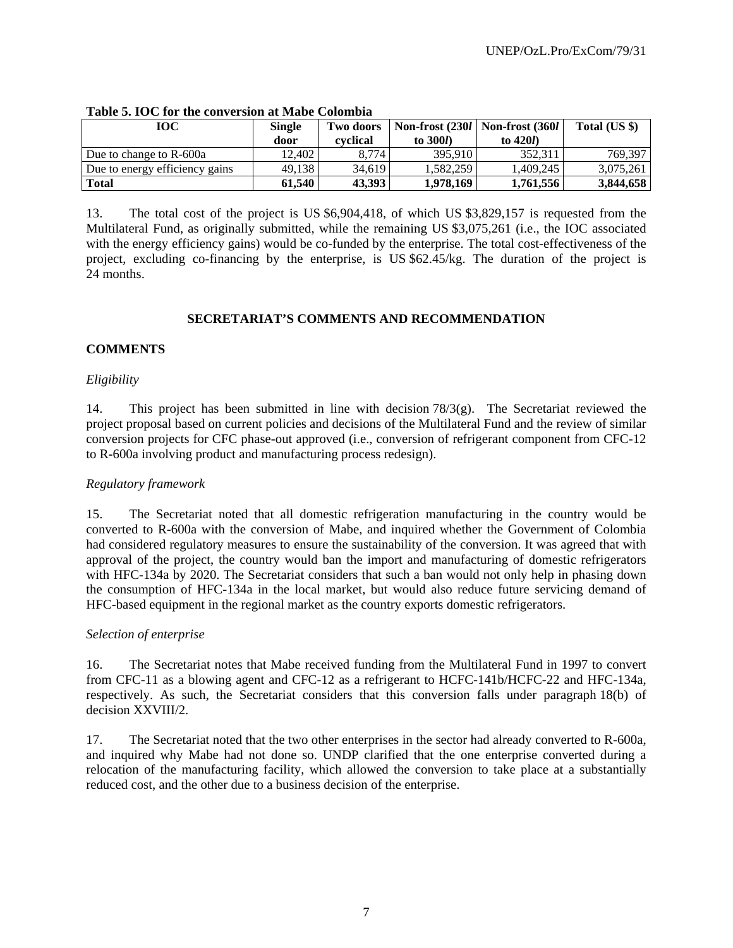| <b>TOC</b>                     | <b>Single</b><br>door | Two doors<br>cvclical | Non-frost (2301   Non-frost (3601  <br>to $300l$ | to $420l$ | Total (US \$) |
|--------------------------------|-----------------------|-----------------------|--------------------------------------------------|-----------|---------------|
| Due to change to R-600a        | 12.402                | 8.774                 | 395.910                                          | 352.311   | 769.397       |
| Due to energy efficiency gains | 49.138                | 34.619                | 1.582.259                                        | 1.409.245 | 3.075.261     |
| <b>Total</b>                   | 61.540                | 43.393                | 1,978,169                                        | 1,761,556 | 3,844,658     |

#### **Table 5. IOC for the conversion at Mabe Colombia**

13. The total cost of the project is US \$6,904,418, of which US \$3,829,157 is requested from the Multilateral Fund, as originally submitted, while the remaining US \$3,075,261 (i.e., the IOC associated with the energy efficiency gains) would be co-funded by the enterprise. The total cost-effectiveness of the project, excluding co-financing by the enterprise, is US \$62.45/kg. The duration of the project is 24 months.

## **SECRETARIAT'S COMMENTS AND RECOMMENDATION**

## **COMMENTS**

## *Eligibility*

14. This project has been submitted in line with decision 78/3(g). The Secretariat reviewed the project proposal based on current policies and decisions of the Multilateral Fund and the review of similar conversion projects for CFC phase-out approved (i.e., conversion of refrigerant component from CFC-12 to R-600a involving product and manufacturing process redesign).

## *Regulatory framework*

15. The Secretariat noted that all domestic refrigeration manufacturing in the country would be converted to R-600a with the conversion of Mabe, and inquired whether the Government of Colombia had considered regulatory measures to ensure the sustainability of the conversion. It was agreed that with approval of the project, the country would ban the import and manufacturing of domestic refrigerators with HFC-134a by 2020. The Secretariat considers that such a ban would not only help in phasing down the consumption of HFC-134a in the local market, but would also reduce future servicing demand of HFC-based equipment in the regional market as the country exports domestic refrigerators.

## *Selection of enterprise*

16. The Secretariat notes that Mabe received funding from the Multilateral Fund in 1997 to convert from CFC-11 as a blowing agent and CFC-12 as a refrigerant to HCFC-141b/HCFC-22 and HFC-134a, respectively. As such, the Secretariat considers that this conversion falls under paragraph 18(b) of decision XXVIII/2.

17. The Secretariat noted that the two other enterprises in the sector had already converted to R-600a, and inquired why Mabe had not done so. UNDP clarified that the one enterprise converted during a relocation of the manufacturing facility, which allowed the conversion to take place at a substantially reduced cost, and the other due to a business decision of the enterprise.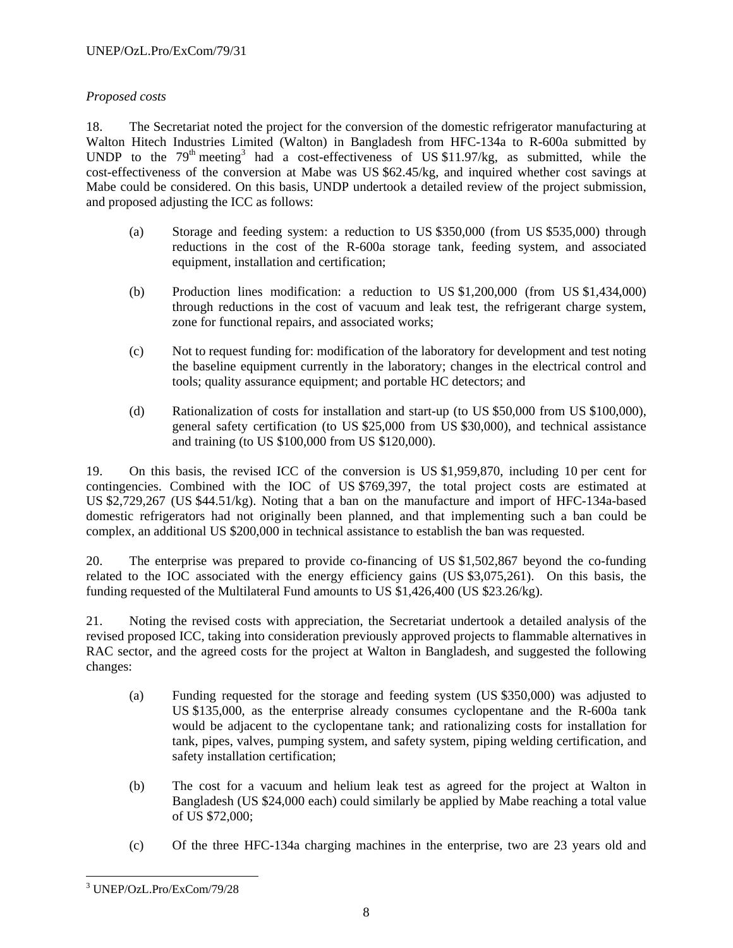# *Proposed costs*

18. The Secretariat noted the project for the conversion of the domestic refrigerator manufacturing at Walton Hitech Industries Limited (Walton) in Bangladesh from HFC-134a to R-600a submitted by UNDP to the  $79<sup>th</sup>$  meeting<sup>3</sup> had a cost-effectiveness of US \$11.97/kg, as submitted, while the cost-effectiveness of the conversion at Mabe was US \$62.45/kg, and inquired whether cost savings at Mabe could be considered. On this basis, UNDP undertook a detailed review of the project submission, and proposed adjusting the ICC as follows:

- (a) Storage and feeding system: a reduction to US \$350,000 (from US \$535,000) through reductions in the cost of the R-600a storage tank, feeding system, and associated equipment, installation and certification;
- (b) Production lines modification: a reduction to US \$1,200,000 (from US \$1,434,000) through reductions in the cost of vacuum and leak test, the refrigerant charge system, zone for functional repairs, and associated works;
- (c) Not to request funding for: modification of the laboratory for development and test noting the baseline equipment currently in the laboratory; changes in the electrical control and tools; quality assurance equipment; and portable HC detectors; and
- (d) Rationalization of costs for installation and start-up (to US \$50,000 from US \$100,000), general safety certification (to US \$25,000 from US \$30,000), and technical assistance and training (to US \$100,000 from US \$120,000).

19. On this basis, the revised ICC of the conversion is US \$1,959,870, including 10 per cent for contingencies. Combined with the IOC of US \$769,397, the total project costs are estimated at US \$2,729,267 (US \$44.51/kg). Noting that a ban on the manufacture and import of HFC-134a-based domestic refrigerators had not originally been planned, and that implementing such a ban could be complex, an additional US \$200,000 in technical assistance to establish the ban was requested.

20. The enterprise was prepared to provide co-financing of US \$1,502,867 beyond the co-funding related to the IOC associated with the energy efficiency gains (US \$3,075,261). On this basis, the funding requested of the Multilateral Fund amounts to US \$1,426,400 (US \$23.26/kg).

21. Noting the revised costs with appreciation, the Secretariat undertook a detailed analysis of the revised proposed ICC, taking into consideration previously approved projects to flammable alternatives in RAC sector, and the agreed costs for the project at Walton in Bangladesh, and suggested the following changes:

- (a) Funding requested for the storage and feeding system (US \$350,000) was adjusted to US \$135,000, as the enterprise already consumes cyclopentane and the R-600a tank would be adjacent to the cyclopentane tank; and rationalizing costs for installation for tank, pipes, valves, pumping system, and safety system, piping welding certification, and safety installation certification;
- (b) The cost for a vacuum and helium leak test as agreed for the project at Walton in Bangladesh (US \$24,000 each) could similarly be applied by Mabe reaching a total value of US \$72,000;
- (c) Of the three HFC-134a charging machines in the enterprise, two are 23 years old and

 $\overline{a}$ 3 UNEP/OzL.Pro/ExCom/79/28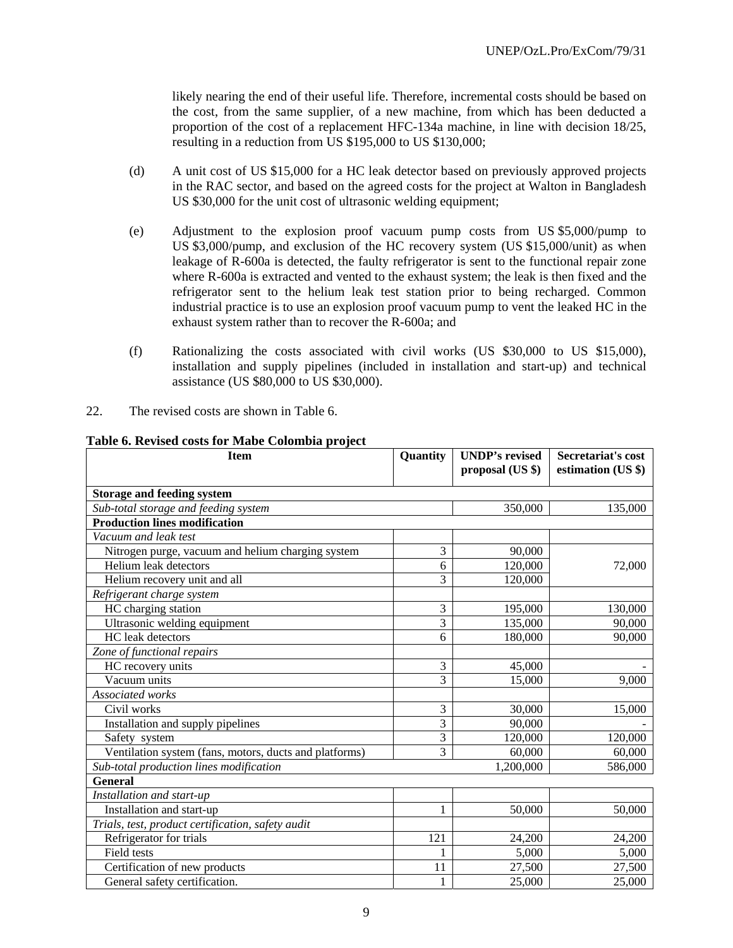likely nearing the end of their useful life. Therefore, incremental costs should be based on the cost, from the same supplier, of a new machine, from which has been deducted a proportion of the cost of a replacement HFC-134a machine, in line with decision 18/25, resulting in a reduction from US \$195,000 to US \$130,000;

- (d) A unit cost of US \$15,000 for a HC leak detector based on previously approved projects in the RAC sector, and based on the agreed costs for the project at Walton in Bangladesh US \$30,000 for the unit cost of ultrasonic welding equipment;
- (e) Adjustment to the explosion proof vacuum pump costs from US \$5,000/pump to US \$3,000/pump, and exclusion of the HC recovery system (US \$15,000/unit) as when leakage of R-600a is detected, the faulty refrigerator is sent to the functional repair zone where R-600a is extracted and vented to the exhaust system; the leak is then fixed and the refrigerator sent to the helium leak test station prior to being recharged. Common industrial practice is to use an explosion proof vacuum pump to vent the leaked HC in the exhaust system rather than to recover the R-600a; and
- (f) Rationalizing the costs associated with civil works (US \$30,000 to US \$15,000), installation and supply pipelines (included in installation and start-up) and technical assistance (US \$80,000 to US \$30,000).
- 22. The revised costs are shown in Table 6.

| <b>Item</b>                                            | Quantity       | <b>UNDP's revised</b><br>proposal (US \$) | Secretariat's cost<br>estimation (US \$) |
|--------------------------------------------------------|----------------|-------------------------------------------|------------------------------------------|
|                                                        |                |                                           |                                          |
| <b>Storage and feeding system</b>                      |                |                                           |                                          |
| Sub-total storage and feeding system                   |                | 350,000                                   | 135,000                                  |
| <b>Production lines modification</b>                   |                |                                           |                                          |
| Vacuum and leak test                                   |                |                                           |                                          |
| Nitrogen purge, vacuum and helium charging system      | 3              | 90,000                                    |                                          |
| Helium leak detectors                                  | 6              | 120,000                                   | 72,000                                   |
| Helium recovery unit and all                           | 3              | 120,000                                   |                                          |
| Refrigerant charge system                              |                |                                           |                                          |
| HC charging station                                    | 3              | 195,000                                   | 130,000                                  |
| Ultrasonic welding equipment                           | 3              | 135,000                                   | 90,000                                   |
| HC leak detectors                                      | 6              | 180,000                                   | 90,000                                   |
| Zone of functional repairs                             |                |                                           |                                          |
| HC recovery units                                      | 3              | 45,000                                    |                                          |
| Vacuum units                                           | 3              | 15,000                                    | 9,000                                    |
| Associated works                                       |                |                                           |                                          |
| Civil works                                            | 3              | 30,000                                    | 15,000                                   |
| Installation and supply pipelines                      | 3              | 90,000                                    |                                          |
| Safety system                                          | 3              | 120,000                                   | 120,000                                  |
| Ventilation system (fans, motors, ducts and platforms) | $\overline{3}$ | 60,000                                    | 60,000                                   |
| Sub-total production lines modification                |                | 1,200,000                                 | 586,000                                  |
| <b>General</b>                                         |                |                                           |                                          |
| Installation and start-up                              |                |                                           |                                          |
| Installation and start-up                              | 1              | 50,000                                    | 50,000                                   |
| Trials, test, product certification, safety audit      |                |                                           |                                          |
| Refrigerator for trials                                | 121            | 24,200                                    | 24,200                                   |
| Field tests                                            | 1              | 5,000                                     | 5,000                                    |
| Certification of new products                          | 11             | 27,500                                    | 27,500                                   |
| General safety certification.                          |                | 25,000                                    | 25,000                                   |

#### **Table 6. Revised costs for Mabe Colombia project**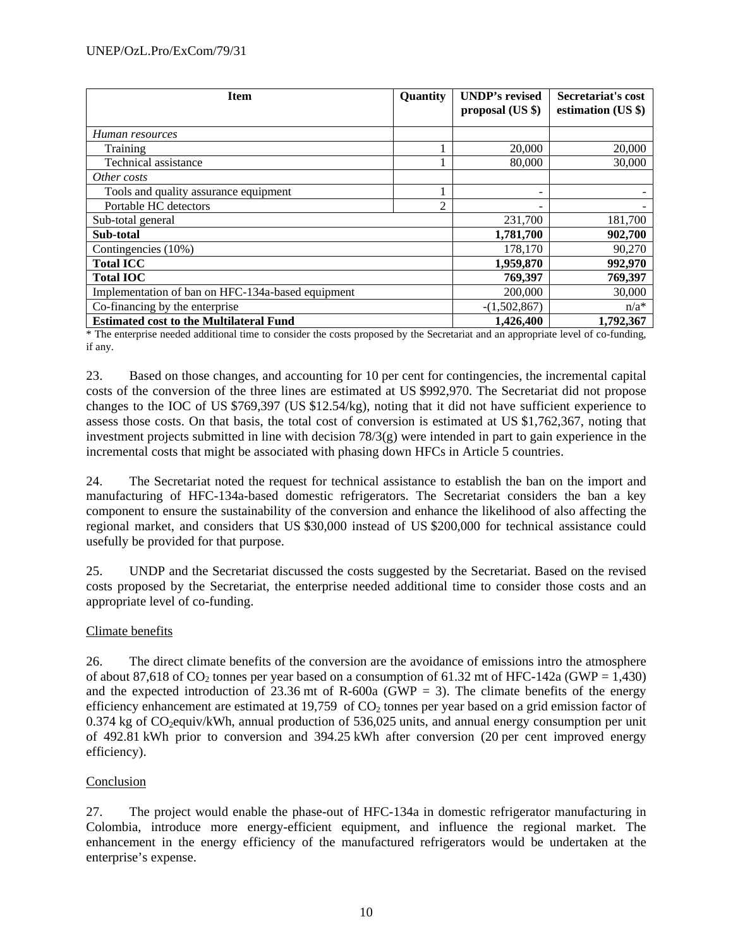| <b>Item</b>                                       | Quantity | <b>UNDP's revised</b><br>proposal (US \$) | Secretariat's cost<br>estimation (US \$) |
|---------------------------------------------------|----------|-------------------------------------------|------------------------------------------|
| Human resources                                   |          |                                           |                                          |
| <b>Training</b>                                   |          | 20,000                                    | 20,000                                   |
| Technical assistance                              |          | 80,000                                    | 30,000                                   |
| Other costs                                       |          |                                           |                                          |
| Tools and quality assurance equipment             |          | -                                         |                                          |
| Portable HC detectors                             | 2        |                                           |                                          |
| Sub-total general                                 |          | 231,700                                   | 181,700                                  |
| Sub-total                                         |          | 1,781,700                                 | 902,700                                  |
| Contingencies (10%)                               |          | 178,170                                   | 90,270                                   |
| <b>Total ICC</b>                                  |          | 1,959,870                                 | 992,970                                  |
| <b>Total IOC</b>                                  |          | 769,397                                   | 769,397                                  |
| Implementation of ban on HFC-134a-based equipment |          | 200,000                                   | 30,000                                   |
| Co-financing by the enterprise                    |          | $-(1,502,867)$                            | $n/a^*$                                  |
| <b>Estimated cost to the Multilateral Fund</b>    |          | 1,426,400                                 | 1,792,367                                |

\* The enterprise needed additional time to consider the costs proposed by the Secretariat and an appropriate level of co-funding, if any.

23. Based on those changes, and accounting for 10 per cent for contingencies, the incremental capital costs of the conversion of the three lines are estimated at US \$992,970. The Secretariat did not propose changes to the IOC of US \$769,397 (US \$12.54/kg), noting that it did not have sufficient experience to assess those costs. On that basis, the total cost of conversion is estimated at US \$1,762,367, noting that investment projects submitted in line with decision  $78/3(g)$  were intended in part to gain experience in the incremental costs that might be associated with phasing down HFCs in Article 5 countries.

24. The Secretariat noted the request for technical assistance to establish the ban on the import and manufacturing of HFC-134a-based domestic refrigerators. The Secretariat considers the ban a key component to ensure the sustainability of the conversion and enhance the likelihood of also affecting the regional market, and considers that US \$30,000 instead of US \$200,000 for technical assistance could usefully be provided for that purpose.

25. UNDP and the Secretariat discussed the costs suggested by the Secretariat. Based on the revised costs proposed by the Secretariat, the enterprise needed additional time to consider those costs and an appropriate level of co-funding.

## Climate benefits

26. The direct climate benefits of the conversion are the avoidance of emissions intro the atmosphere of about 87,618 of  $CO_2$  tonnes per year based on a consumption of 61.32 mt of HFC-142a (GWP = 1,430) and the expected introduction of  $23.36$  mt of R-600a (GWP = 3). The climate benefits of the energy efficiency enhancement are estimated at 19,759 of  $CO<sub>2</sub>$  tonnes per year based on a grid emission factor of  $0.374$  kg of  $CO_2$ equiv/kWh, annual production of 536,025 units, and annual energy consumption per unit of 492.81 kWh prior to conversion and 394.25 kWh after conversion (20 per cent improved energy efficiency).

# Conclusion

27. The project would enable the phase-out of HFC-134a in domestic refrigerator manufacturing in Colombia, introduce more energy-efficient equipment, and influence the regional market. The enhancement in the energy efficiency of the manufactured refrigerators would be undertaken at the enterprise's expense.